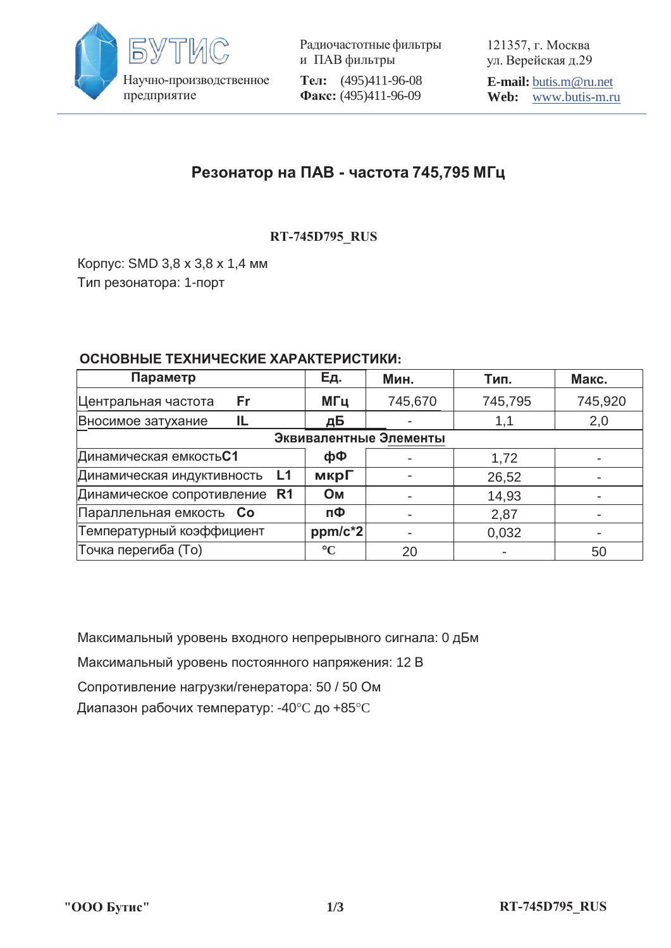

Радиочастотные фильтры и ПАВ фильтры **Тел:** (495)411-96-08 Факс: (495)411-96-09

121357, г. Москва ул. Верейская д.29

**E-mail:** butis.m@ru.net **Web:** www.butis-m.ru

## Резонатор на ПАВ - частота 745,795 МГц

**RT-745D795\_RUS**

Корпус: SMD 3,8 х 3,8 х 1,4 мм Тип резонатора: 1-порт

## ОСНОВНЫЕ ТЕХНИЧЕСКИЕ ХАРАКТЕРИСТИКИ:

| Параметр                         | Ед.             | Мин.    | Тип.    | Макс.   |
|----------------------------------|-----------------|---------|---------|---------|
| Центральная частота<br>Fr        | МГц             | 745,670 | 745,795 | 745,920 |
| Вносимое затухание<br>IL         | дБ              |         | 1,1     | 2,0     |
| Эквивалентные Элементы           |                 |         |         |         |
| Динамическая емкость C1          | фФ              |         | 1,72    |         |
| Динамическая индуктивность<br>L1 | мкрГ            |         | 26,52   |         |
| Динамическое сопротивление R1    | <b>OM</b>       |         | 14,93   |         |
| Параллельная емкость Со          | пФ              |         | 2,87    |         |
| Температурный коэффициент        | ppm/c*2         |         | 0,032   |         |
| Точка перегиба (То)              | $\rm ^{\circ}C$ | 20      |         | 50      |

Максимальный уровень входного непрерывного сигнала: 0 дБм

Максимальный уровень постоянного напряжения: 12 В

Сопротивление нагрузки/генератора: 50 / 50 Ом

Диапазон рабочих температур: -40°С до +85°С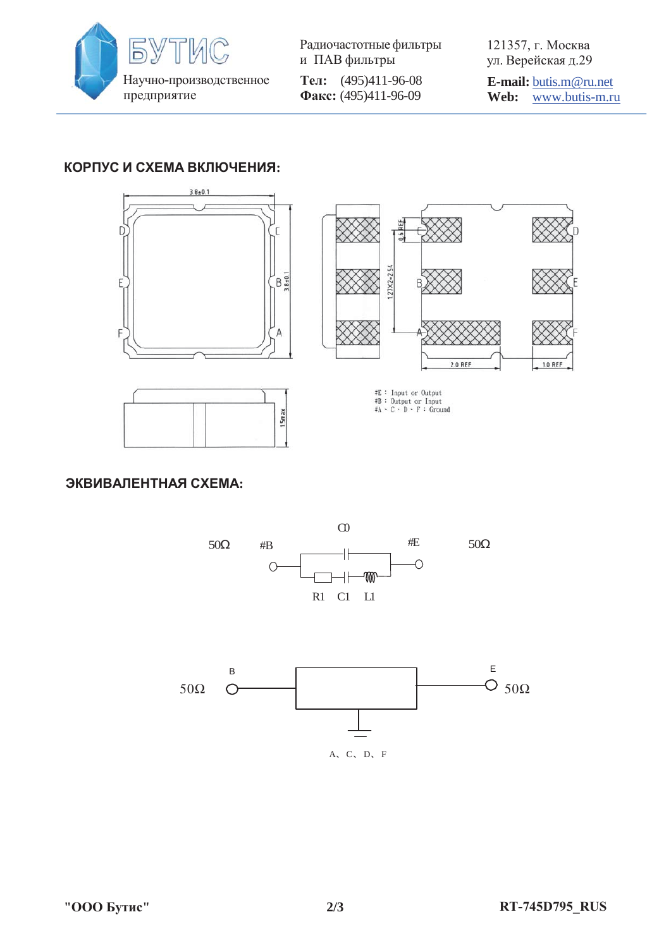

Радиочастотные фильтры и ПАВ фильтры **Тел:** (495)411-96-08 Факс: (495)411-96-09

121357, г. Москва ул. Верейская д.29

**E-mail:** butis.m@ru.net **Web:** www.butis-m.ru

1.0 REF

## КОРПУС И СХЕМА ВКЛЮЧЕНИЯ:



**ЭКВИВАЛЕНТНАЯ СХЕМА:**